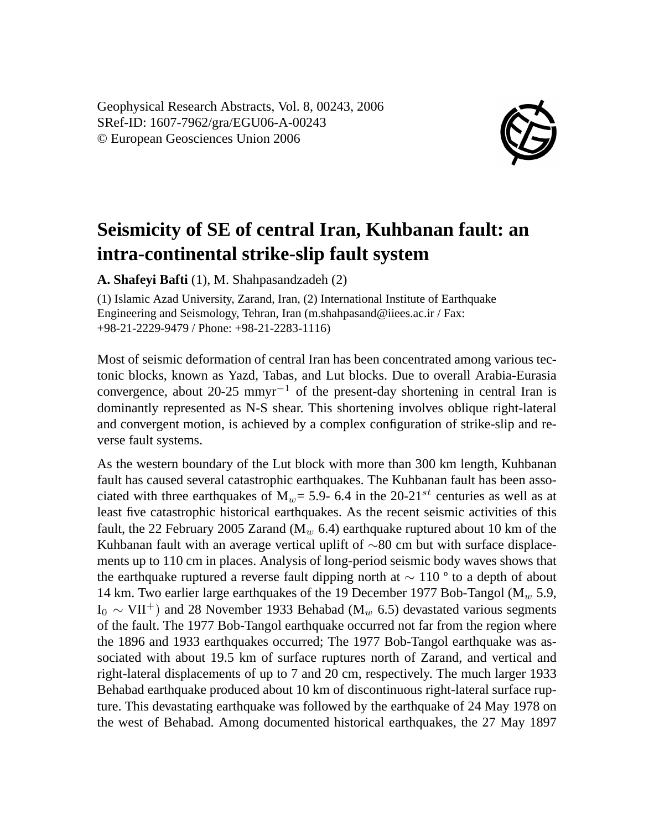Geophysical Research Abstracts, Vol. 8, 00243, 2006 SRef-ID: 1607-7962/gra/EGU06-A-00243 © European Geosciences Union 2006



## **Seismicity of SE of central Iran, Kuhbanan fault: an intra-continental strike-slip fault system**

**A. Shafeyi Bafti** (1), M. Shahpasandzadeh (2)

(1) Islamic Azad University, Zarand, Iran, (2) International Institute of Earthquake Engineering and Seismology, Tehran, Iran (m.shahpasand@iiees.ac.ir / Fax: +98-21-2229-9479 / Phone: +98-21-2283-1116)

Most of seismic deformation of central Iran has been concentrated among various tectonic blocks, known as Yazd, Tabas, and Lut blocks. Due to overall Arabia-Eurasia convergence, about 20-25 mmyr<sup>-1</sup> of the present-day shortening in central Iran is dominantly represented as N-S shear. This shortening involves oblique right-lateral and convergent motion, is achieved by a complex configuration of strike-slip and reverse fault systems.

As the western boundary of the Lut block with more than 300 km length, Kuhbanan fault has caused several catastrophic earthquakes. The Kuhbanan fault has been associated with three earthquakes of  $M_w = 5.9 - 6.4$  in the 20-21<sup>st</sup> centuries as well as at least five catastrophic historical earthquakes. As the recent seismic activities of this fault, the 22 February 2005 Zarand ( $M_w$  6.4) earthquake ruptured about 10 km of the Kuhbanan fault with an average vertical uplift of  $\sim$ 80 cm but with surface displacements up to 110 cm in places. Analysis of long-period seismic body waves shows that the earthquake ruptured a reverse fault dipping north at ∼ 110 º to a depth of about 14 km. Two earlier large earthquakes of the 19 December 1977 Bob-Tangol  $(M<sub>w</sub> 5.9)$ , I<sub>0</sub>  $\sim$  VII<sup>+</sup>) and 28 November 1933 Behabad (M<sub>w</sub> 6.5) devastated various segments of the fault. The 1977 Bob-Tangol earthquake occurred not far from the region where the 1896 and 1933 earthquakes occurred; The 1977 Bob-Tangol earthquake was associated with about 19.5 km of surface ruptures north of Zarand, and vertical and right-lateral displacements of up to 7 and 20 cm, respectively. The much larger 1933 Behabad earthquake produced about 10 km of discontinuous right-lateral surface rupture. This devastating earthquake was followed by the earthquake of 24 May 1978 on the west of Behabad. Among documented historical earthquakes, the 27 May 1897